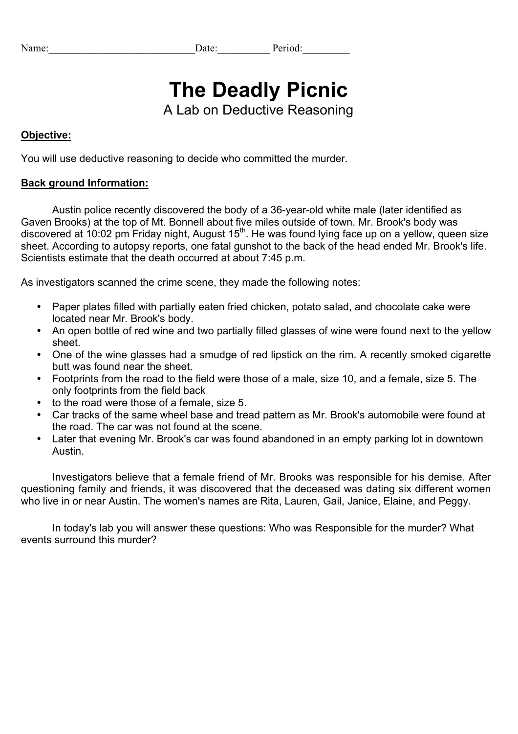| Name: | ?r10d. |
|-------|--------|
|       |        |

# **The Deadly Picnic**

A Lab on Deductive Reasoning

## **Objective:**

You will use deductive reasoning to decide who committed the murder.

#### **Back ground Information:**

Austin police recently discovered the body of a 36-year-old white male (later identified as Gaven Brooks) at the top of Mt. Bonnell about five miles outside of town. Mr. Brook's body was discovered at 10:02 pm Friday night, August  $15<sup>th</sup>$ . He was found lying face up on a yellow, queen size sheet. According to autopsy reports, one fatal gunshot to the back of the head ended Mr. Brook's life. Scientists estimate that the death occurred at about 7:45 p.m.

As investigators scanned the crime scene, they made the following notes:

- Paper plates filled with partially eaten fried chicken, potato salad, and chocolate cake were located near Mr. Brook's body.
- An open bottle of red wine and two partially filled glasses of wine were found next to the yellow sheet.
- One of the wine glasses had a smudge of red lipstick on the rim. A recently smoked cigarette butt was found near the sheet.
- Footprints from the road to the field were those of a male, size 10, and a female, size 5. The only footprints from the field back
- to the road were those of a female, size 5.
- Car tracks of the same wheel base and tread pattern as Mr. Brook's automobile were found at the road. The car was not found at the scene.
- Later that evening Mr. Brook's car was found abandoned in an empty parking lot in downtown Austin.

Investigators believe that a female friend of Mr. Brooks was responsible for his demise. After questioning family and friends, it was discovered that the deceased was dating six different women who live in or near Austin. The women's names are Rita, Lauren, Gail, Janice, Elaine, and Peggy.

In today's lab you will answer these questions: Who was Responsible for the murder? What events surround this murder?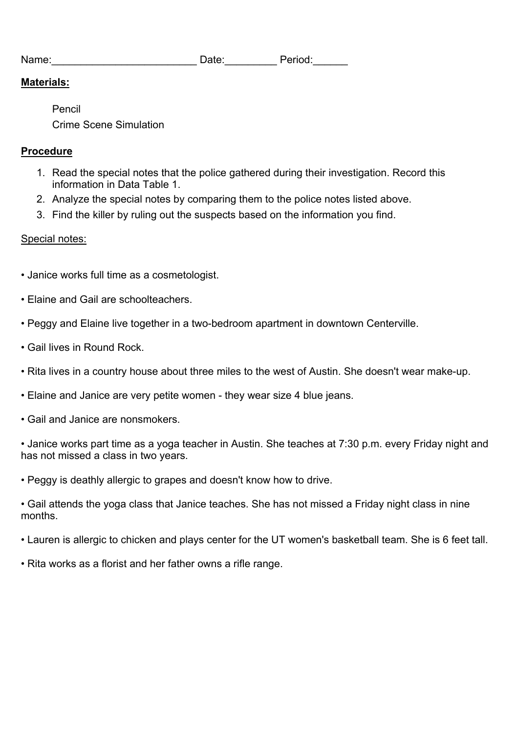| Date: | Period: |  |
|-------|---------|--|
|       |         |  |

#### **Materials:**

Pencil

Name:

Crime Scene Simulation

## **Procedure**

- 1. Read the special notes that the police gathered during their investigation. Record this information in Data Table 1.
- 2. Analyze the special notes by comparing them to the police notes listed above.
- 3. Find the killer by ruling out the suspects based on the information you find.

# Special notes:

- Janice works full time as a cosmetologist.
- Elaine and Gail are schoolteachers.
- Peggy and Elaine live together in a two-bedroom apartment in downtown Centerville.
- Gail lives in Round Rock.
- Rita lives in a country house about three miles to the west of Austin. She doesn't wear make-up.
- Elaine and Janice are very petite women they wear size 4 blue jeans.
- Gail and Janice are nonsmokers.

• Janice works part time as a yoga teacher in Austin. She teaches at 7:30 p.m. every Friday night and has not missed a class in two years.

• Peggy is deathly allergic to grapes and doesn't know how to drive.

• Gail attends the yoga class that Janice teaches. She has not missed a Friday night class in nine months.

- Lauren is allergic to chicken and plays center for the UT women's basketball team. She is 6 feet tall.
- Rita works as a florist and her father owns a rifle range.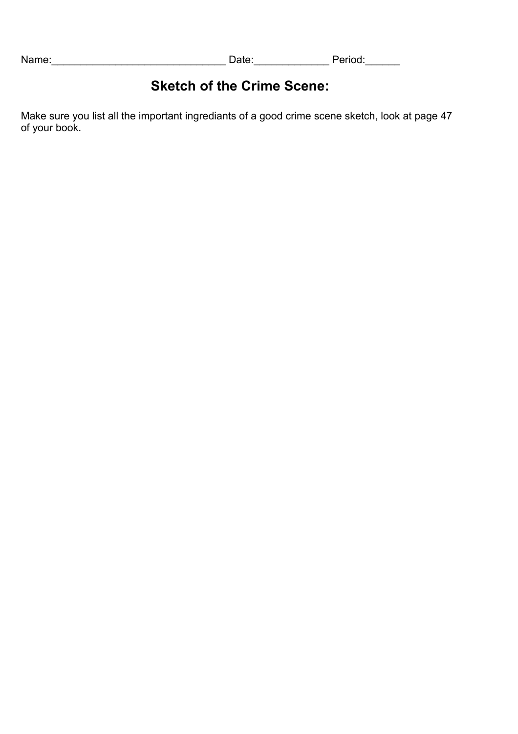Name:\_\_\_\_\_\_\_\_\_\_\_\_\_\_\_\_\_\_\_\_\_\_\_\_\_\_\_\_\_\_ Date:\_\_\_\_\_\_\_\_\_\_\_\_\_ Period:\_\_\_\_\_\_

# **Sketch of the Crime Scene:**

Make sure you list all the important ingrediants of a good crime scene sketch, look at page 47 of your book.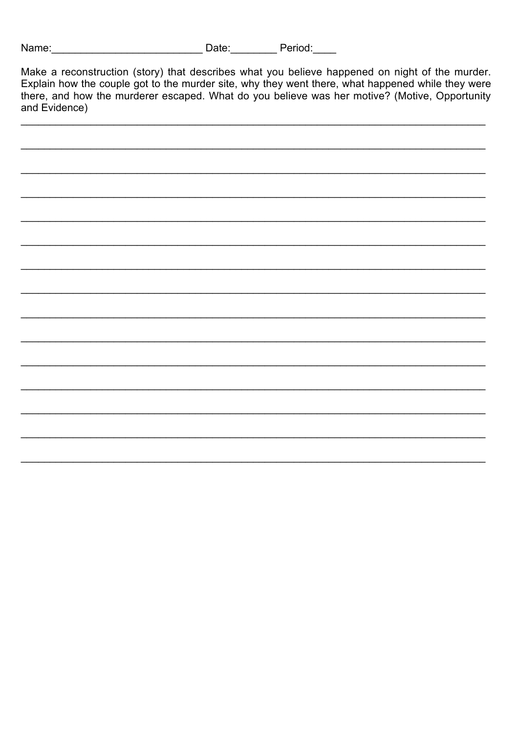| Name:<br>Period:<br>Date: |  |
|---------------------------|--|
|---------------------------|--|

Make a reconstruction (story) that describes what you believe happened on night of the murder.<br>Explain how the couple got to the murder site, why they went there, what happened while they were<br>there, and how the murderer e and Evidence)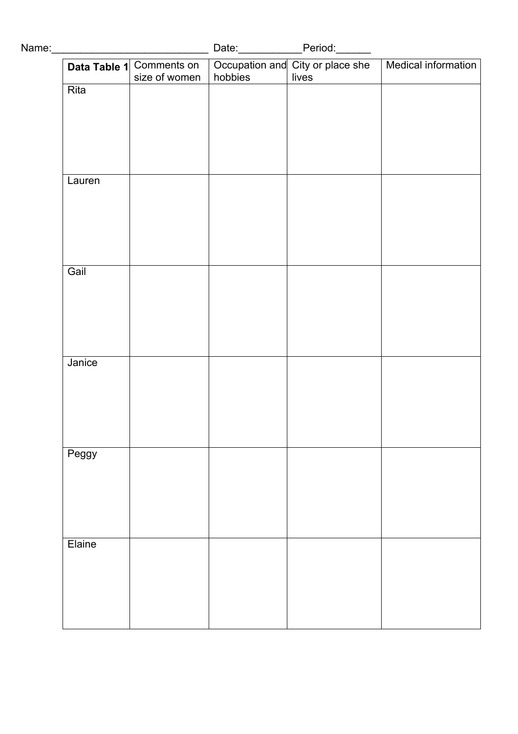|        | Data Table 1 Comments on<br>size of women | hobbies | lives | Date: Period: Period: Date: Decupation and City or place she   Medical information |
|--------|-------------------------------------------|---------|-------|------------------------------------------------------------------------------------|
| Rita   |                                           |         |       |                                                                                    |
|        |                                           |         |       |                                                                                    |
|        |                                           |         |       |                                                                                    |
|        |                                           |         |       |                                                                                    |
| Lauren |                                           |         |       |                                                                                    |
|        |                                           |         |       |                                                                                    |
|        |                                           |         |       |                                                                                    |
| Gail   |                                           |         |       |                                                                                    |
|        |                                           |         |       |                                                                                    |
|        |                                           |         |       |                                                                                    |
|        |                                           |         |       |                                                                                    |
| Janice |                                           |         |       |                                                                                    |
|        |                                           |         |       |                                                                                    |
|        |                                           |         |       |                                                                                    |
|        |                                           |         |       |                                                                                    |
| Peggy  |                                           |         |       |                                                                                    |
|        |                                           |         |       |                                                                                    |
|        |                                           |         |       |                                                                                    |
| Elaine |                                           |         |       |                                                                                    |
|        |                                           |         |       |                                                                                    |
|        |                                           |         |       |                                                                                    |
|        |                                           |         |       |                                                                                    |
|        |                                           |         |       |                                                                                    |